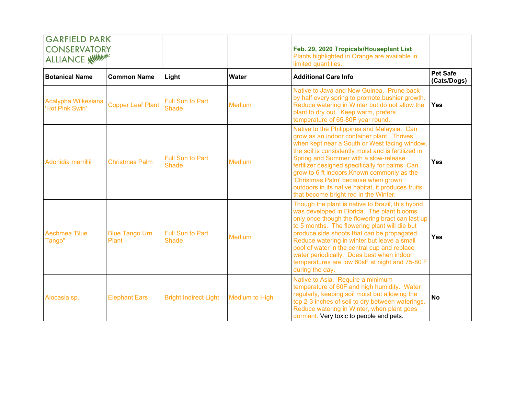| <b>GARFIELD PARK</b><br><b>CONSERVATORY</b><br>ALLIANCE WILLIAM |                                |                                         |                       | Feb. 29, 2020 Tropicals/Houseplant List<br>Plants highlighted in Orange are available in<br>limited quantities.                                                                                                                                                                                                                                                                                                                                                                    |                                |
|-----------------------------------------------------------------|--------------------------------|-----------------------------------------|-----------------------|------------------------------------------------------------------------------------------------------------------------------------------------------------------------------------------------------------------------------------------------------------------------------------------------------------------------------------------------------------------------------------------------------------------------------------------------------------------------------------|--------------------------------|
| <b>Botanical Name</b>                                           | <b>Common Name</b>             | Light                                   | <b>Water</b>          | <b>Additional Care Info</b>                                                                                                                                                                                                                                                                                                                                                                                                                                                        | <b>Pet Safe</b><br>(Cats/Dogs) |
| Acalypha Wilkesiana<br>'Hot Pink Swirl'                         | <b>Copper Leaf Plant</b>       | Full Sun to Part<br><b>Shade</b>        | <b>Medium</b>         | Native to Java and New Guinea. Prune back<br>by half every spring to promote bushier growth.<br>Reduce watering in Winter but do not allow the<br>plant to dry out. Keep warm, prefers<br>temperature of 65-80F year round.                                                                                                                                                                                                                                                        | <b>Yes</b>                     |
| Adonidia merrillii                                              | <b>Christmas Palm</b>          | <b>Full Sun to Part</b><br><b>Shade</b> | <b>Medium</b>         | Native to the Philippines and Malaysia. Can<br>grow as an indoor container plant. Thrives<br>when kept near a South or West facing window,<br>the soil is consistently moist and is fertilized in<br>Spring and Summer with a slow-release<br>fertilizer designed specifically for palms. Can<br>grow to 6 ft indoors. Known commonly as the<br>'Christmas Palm' because when grown<br>outdoors in its native habitat, it produces fruits<br>that become bright red in the Winter. | Yes                            |
| Aechmea 'Blue<br>Tango"                                         | <b>Blue Tango Urn</b><br>Plant | <b>Full Sun to Part</b><br><b>Shade</b> | Medium                | Though the plant is native to Brazil, this hybrid<br>was developed in Florida. The plant blooms<br>only once though the flowering bract can last up<br>to 5 months. The flowering plant will die but<br>produce side shoots that can be propagated.<br>Reduce watering in winter but leave a small<br>pool of water in the central cup and replace<br>water periodically. Does best when indoor<br>temperatures are low 60sF at night and 75-80 F<br>during the day.               | Yes                            |
| Alocasia sp.                                                    | <b>Elephant Ears</b>           | <b>Bright Indirect Light</b>            | <b>Medium to High</b> | Native to Asia. Require a minimum<br>temperature of 60F and high humidity. Water<br>regularly, keeping soil moist but allowing the<br>top 2-3 inches of soil to dry between waterings.<br>Reduce watering in Winter, when plant goes<br>dormant. Very toxic to people and pets.                                                                                                                                                                                                    | <b>No</b>                      |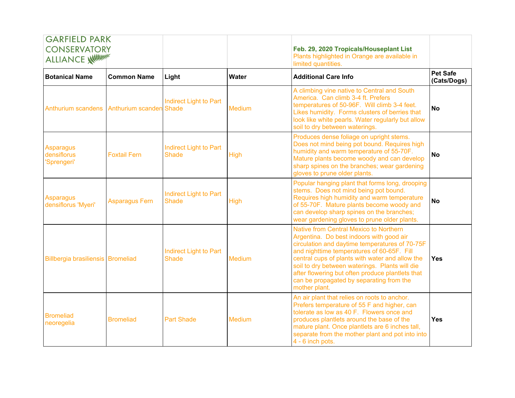| <b>GARFIELD PARK</b>                           |                       |                                               |               |                                                                                                                                                                                                                                                                                                                                                                                                          |                                |
|------------------------------------------------|-----------------------|-----------------------------------------------|---------------|----------------------------------------------------------------------------------------------------------------------------------------------------------------------------------------------------------------------------------------------------------------------------------------------------------------------------------------------------------------------------------------------------------|--------------------------------|
| <b>CONSERVATORY</b><br>ALLIANCE William        |                       |                                               |               | Feb. 29, 2020 Tropicals/Houseplant List<br>Plants highlighted in Orange are available in<br>limited quantities.                                                                                                                                                                                                                                                                                          |                                |
| <b>Botanical Name</b>                          | <b>Common Name</b>    | Light                                         | Water         | <b>Additional Care Info</b>                                                                                                                                                                                                                                                                                                                                                                              | <b>Pet Safe</b><br>(Cats/Dogs) |
| Anthurium scandens Anthurium scanden Shade     |                       | <b>Indirect Light to Part</b>                 | Medium        | A climbing vine native to Central and South<br>America. Can climb 3-4 ft. Prefers<br>temperatures of 50-96F. Will climb 3-4 feet.<br>Likes humidity. Forms clusters of berries that<br>look like white pearls. Water regularly but allow<br>soil to dry between waterings.                                                                                                                               | <b>No</b>                      |
| <b>Asparagus</b><br>densiflorus<br>'Sprengeri' | <b>Foxtail Fern</b>   | <b>Indirect Light to Part</b><br><b>Shade</b> | <b>High</b>   | Produces dense foliage on upright stems.<br>Does not mind being pot bound. Requires high<br>humidity and warm temperature of 55-70F.<br>Mature plants become woody and can develop<br>sharp spines on the branches; wear gardening<br>gloves to prune older plants.                                                                                                                                      | <b>No</b>                      |
| <b>Asparagus</b><br>densiflorus 'Myeri'        | <b>Asparagus Fern</b> | <b>Indirect Light to Part</b><br><b>Shade</b> | High          | Popular hanging plant that forms long, drooping<br>stems. Does not mind being pot bound.<br>Requires high humidity and warm temperature<br>of 55-70F. Mature plants become woody and<br>can develop sharp spines on the branches;<br>wear gardening gloves to prune older plants.                                                                                                                        | <b>No</b>                      |
| Billbergia brasiliensis Bromeliad              |                       | Indirect Light to Part<br><b>Shade</b>        | <b>Medium</b> | Native from Central Mexico to Northern<br>Argentina. Do best indoors with good air<br>circulation and daytime temperatures of 70-75F<br>and nighttime temperatures of 60-65F. Fill<br>central cups of plants with water and allow the<br>soil to dry between waterings. Plants will die<br>after flowering but often produce plantlets that<br>can be propagated by separating from the<br>mother plant. | <b>Yes</b>                     |
| <b>Bromeliad</b><br>neoregelia                 | <b>Bromeliad</b>      | <b>Part Shade</b>                             | <b>Medium</b> | An air plant that relies on roots to anchor.<br>Prefers temperature of 55 F and higher, can<br>tolerate as low as 40 F. Flowers once and<br>produces plantlets around the base of the<br>mature plant. Once plantlets are 6 inches tall,<br>separate from the mother plant and pot into into<br>4 - 6 inch pots.                                                                                         | Yes                            |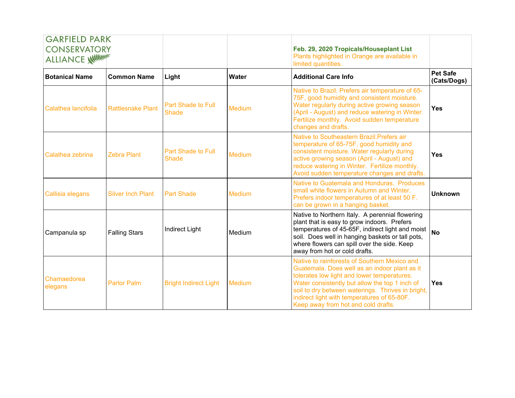| <b>GARFIELD PARK</b><br><b>CONSERVATORY</b><br>ALLIANCE WILLIAM |                          |                                           |               | Feb. 29, 2020 Tropicals/Houseplant List<br>Plants highlighted in Orange are available in<br>limited quantities.                                                                                                                                                                                                                           |                                |
|-----------------------------------------------------------------|--------------------------|-------------------------------------------|---------------|-------------------------------------------------------------------------------------------------------------------------------------------------------------------------------------------------------------------------------------------------------------------------------------------------------------------------------------------|--------------------------------|
| <b>Botanical Name</b>                                           | <b>Common Name</b>       | Light                                     | Water         | <b>Additional Care Info</b>                                                                                                                                                                                                                                                                                                               | <b>Pet Safe</b><br>(Cats/Dogs) |
| Calathea lancifolia                                             | <b>Rattlesnake Plant</b> | <b>Part Shade to Full</b><br><b>Shade</b> | <b>Medium</b> | Native to Brazil. Prefers air temperature of 65-<br>75F, good humidity and consistent moisture.<br>Water regularly during active growing season<br>(April - August) and reduce watering in Winter.<br>Fertilize monthly. Avoid sudden temperature<br>changes and drafts.                                                                  | <b>Yes</b>                     |
| Calathea zebrina                                                | <b>Zebra Plant</b>       | <b>Part Shade to Full</b><br><b>Shade</b> | Medium        | Native to Southeastern Brazil. Prefers air<br>temperature of 65-75F, good humidity and<br>consistent moisture. Water regularly during<br>active growing season (April - August) and<br>reduce watering in Winter. Fertilize monthly.<br>Avoid sudden temperature changes and drafts.                                                      | <b>Yes</b>                     |
| Callisia elegans                                                | <b>Silver Inch Plant</b> | <b>Part Shade</b>                         | <b>Medium</b> | Native to Guatemala and Honduras. Produces<br>small white flowers in Autumn and Winter.<br>Prefers indoor temperatures of at least 50 F.<br>can be grown in a hanging basket.                                                                                                                                                             | <b>Unknown</b>                 |
| Campanula sp                                                    | <b>Falling Stars</b>     | Indirect Light                            | Medium        | Native to Northern Italy. A perennial flowering<br>plant that is easy to grow indoors. Prefers<br>temperatures of 45-65F, indirect light and moist<br>soil. Does well in hanging baskets or tall pots,<br>where flowers can spill over the side. Keep<br>away from hot or cold drafts.                                                    | <b>No</b>                      |
| Chamaedorea<br>elegans                                          | <b>Parlor Palm</b>       | <b>Bright Indirect Light</b>              | Medium        | Native to rainforests of Southern Mexico and<br>Guatemala. Does well as an indoor plant as it<br>tolerates low light and lower temperatures.<br>Water consistently but allow the top 1 inch of<br>soil to dry between waterings. Thrives in bright,<br>indirect light with temperatures of 65-80F.<br>Keep away from hot and cold drafts. | <b>Yes</b>                     |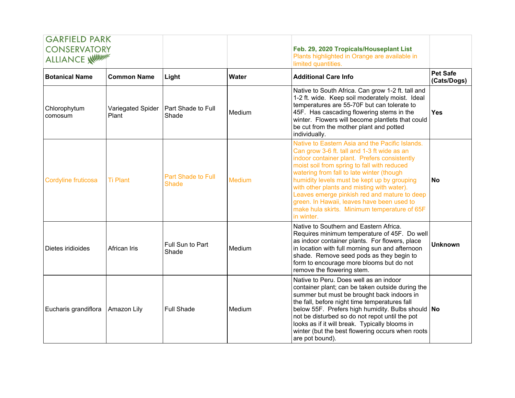| <b>GARFIELD PARK</b>                           |                            |                                           |               |                                                                                                                                                                                                                                                                                                                                                                                                                                                                                                     |                                |
|------------------------------------------------|----------------------------|-------------------------------------------|---------------|-----------------------------------------------------------------------------------------------------------------------------------------------------------------------------------------------------------------------------------------------------------------------------------------------------------------------------------------------------------------------------------------------------------------------------------------------------------------------------------------------------|--------------------------------|
| <b>CONSERVATORY</b><br><b>ALLIANCE WILLIAM</b> |                            |                                           |               | Feb. 29, 2020 Tropicals/Houseplant List<br>Plants highlighted in Orange are available in<br>limited quantities.                                                                                                                                                                                                                                                                                                                                                                                     |                                |
| <b>Botanical Name</b>                          | <b>Common Name</b>         | Light                                     | <b>Water</b>  | <b>Additional Care Info</b>                                                                                                                                                                                                                                                                                                                                                                                                                                                                         | <b>Pet Safe</b><br>(Cats/Dogs) |
| Chlorophytum<br>comosum                        | Variegated Spider<br>Plant | Part Shade to Full<br>Shade               | Medium        | Native to South Africa. Can grow 1-2 ft. tall and<br>1-2 ft. wide. Keep soil moderately moist. Ideal<br>temperatures are 55-70F but can tolerate to<br>45F. Has cascading flowering stems in the<br>winter. Flowers will become plantlets that could<br>be cut from the mother plant and potted<br>individually.                                                                                                                                                                                    | <b>Yes</b>                     |
| Cordyline fruticosa                            | <b>Ti Plant</b>            | <b>Part Shade to Full</b><br><b>Shade</b> | <b>Medium</b> | Native to Eastern Asia and the Pacific Islands.<br>Can grow 3-6 ft. tall and 1-3 ft wide as an<br>indoor container plant. Prefers consistently<br>moist soil from spring to fall with reduced<br>watering from fall to late winter (though<br>humidity levels must be kept up by grouping<br>with other plants and misting with water).<br>Leaves emerge pinkish red and mature to deep<br>green. In Hawaii, leaves have been used to<br>make hula skirts. Minimum temperature of 65F<br>in winter. | <b>No</b>                      |
| Dietes iridioides                              | African Iris               | Full Sun to Part<br>Shade                 | Medium        | Native to Southern and Eastern Africa.<br>Requires minimum temperature of 45F. Do well<br>as indoor container plants. For flowers, place<br>in location with full morning sun and afternoon<br>shade. Remove seed pods as they begin to<br>form to encourage more blooms but do not<br>remove the flowering stem.                                                                                                                                                                                   | Unknown                        |
| Eucharis grandiflora                           | Amazon Lily                | <b>Full Shade</b>                         | Medium        | Native to Peru. Does well as an indoor<br>container plant; can be taken outside during the<br>summer but must be brought back indoors in<br>the fall, before night time temperatures fall<br>below 55F. Prefers high humidity. Bulbs should No<br>not be disturbed so do not repot until the pot<br>looks as if it will break. Typically blooms in<br>winter (but the best flowering occurs when roots<br>are pot bound).                                                                           |                                |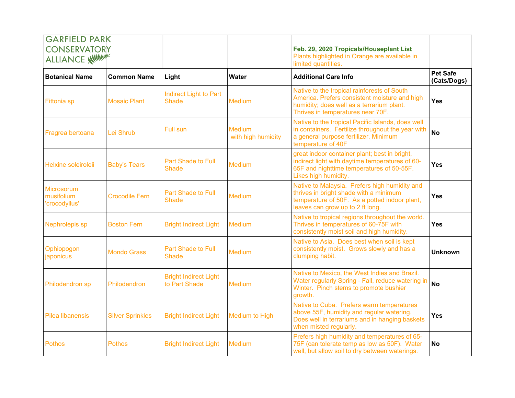| <b>GARFIELD PARK</b>                            |                         |                                               |                                     |                                                                                                                                                                                |                                |
|-------------------------------------------------|-------------------------|-----------------------------------------------|-------------------------------------|--------------------------------------------------------------------------------------------------------------------------------------------------------------------------------|--------------------------------|
| <b>CONSERVATORY</b><br><b>ALLIANCE WITHING!</b> |                         |                                               |                                     | Feb. 29, 2020 Tropicals/Houseplant List<br>Plants highlighted in Orange are available in<br>limited quantities.                                                                |                                |
| <b>Botanical Name</b>                           | <b>Common Name</b>      | Light                                         | Water                               | <b>Additional Care Info</b>                                                                                                                                                    | <b>Pet Safe</b><br>(Cats/Dogs) |
| <b>Fittonia</b> sp                              | <b>Mosaic Plant</b>     | <b>Indirect Light to Part</b><br><b>Shade</b> | <b>Medium</b>                       | Native to the tropical rainforests of South<br>America. Prefers consistent moisture and high<br>humidity; does well as a terrarium plant.<br>Thrives in temperatures near 70F. | Yes                            |
| Fragrea bertoana                                | Lei Shrub               | <b>Full sun</b>                               | <b>Medium</b><br>with high humidity | Native to the tropical Pacific Islands, does well<br>in containers. Fertilize throughout the year with<br>a general purpose fertilizer. Minimum<br>temperature of 40F          | <b>No</b>                      |
| Helxine soleiroleii                             | <b>Baby's Tears</b>     | Part Shade to Full<br><b>Shade</b>            | <b>Medium</b>                       | great indoor container plant; best in bright,<br>indirect light with daytime temperatures of 60-<br>65F and nighttime temperatures of 50-55F.<br>Likes high humidity.          | Yes                            |
| Microsorum<br>musifolium<br>'crocodyllus'       | <b>Crocodile Fern</b>   | Part Shade to Full<br><b>Shade</b>            | <b>Medium</b>                       | Native to Malaysia. Prefers high humidity and<br>thrives in bright shade with a minimum<br>temperature of 50F. As a potted indoor plant,<br>leaves can grow up to 2 ft long.   | <b>Yes</b>                     |
| Nephrolepis sp                                  | <b>Boston Fern</b>      | <b>Bright Indirect Light</b>                  | Medium                              | Native to tropical regions throughout the world.<br>Thrives in temperatures of 60-75F with<br>consistently moist soil and high humidity.                                       | Yes                            |
| Ophiopogon<br>japonicus                         | <b>Mondo Grass</b>      | Part Shade to Full<br><b>Shade</b>            | <b>Medium</b>                       | Native to Asia. Does best when soil is kept<br>consistently moist. Grows slowly and has a<br>clumping habit.                                                                   | <b>Unknown</b>                 |
| Philodendron sp                                 | Philodendron            | <b>Bright Indirect Light</b><br>to Part Shade | <b>Medium</b>                       | Native to Mexico, the West Indies and Brazil.<br>Water regularly Spring - Fall, reduce watering in<br>Winter. Pinch stems to promote bushier<br>growth.                        | <b>No</b>                      |
| <b>Pilea libanensis</b>                         | <b>Silver Sprinkles</b> | <b>Bright Indirect Light</b>                  | Medium to High                      | Native to Cuba. Prefers warm temperatures<br>above 55F, humidity and regular watering.<br>Does well in terrariums and in hanging baskets<br>when misted regularly.             | Yes                            |
| <b>Pothos</b>                                   | <b>Pothos</b>           | <b>Bright Indirect Light</b>                  | <b>Medium</b>                       | Prefers high humidity and temperatures of 65-<br>75F (can tolerate temp as low as 50F). Water<br>well, but allow soil to dry between waterings.                                | <b>No</b>                      |